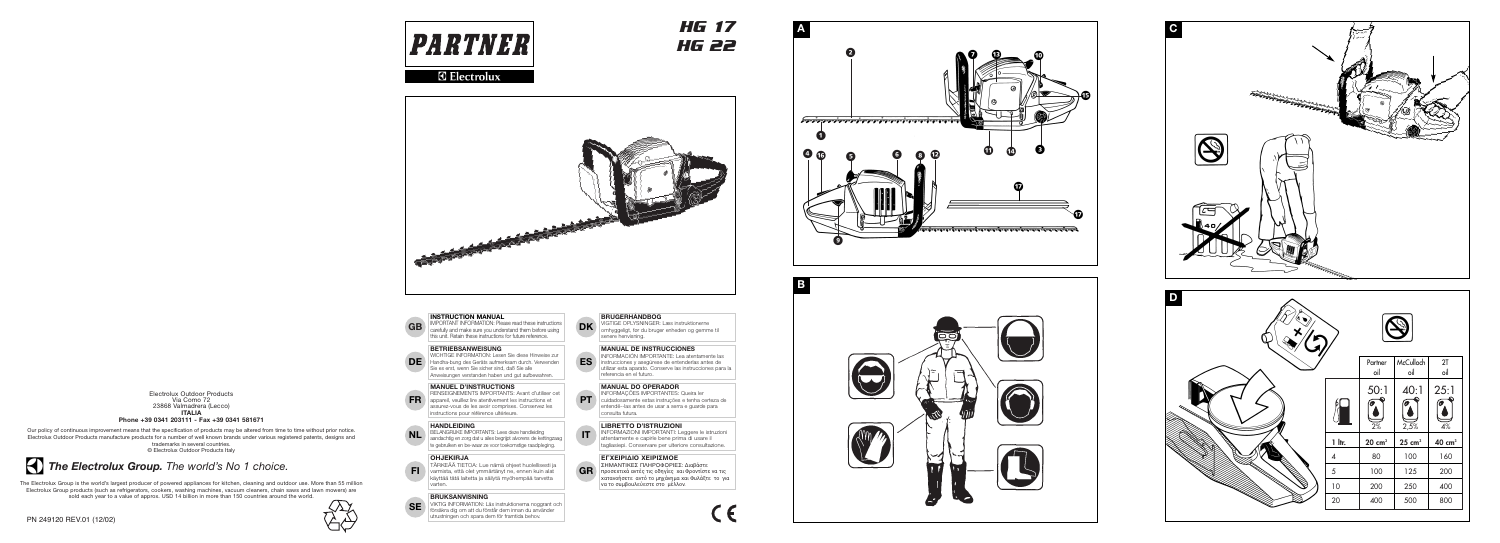**HG 17 HG 22** 



# **R** Electrolux



# $\overline{B}$

**A** 

#### **INSTRUCTION MANUAL**

IMPORTANT INFORMATION: Please read these instructions carefully and make sure you understand them before using this unit. Retain these instructions for future reference.

#### **BETRIEBSANWEISUNG**

WICHTIGE INFORMATION: Lesen Sie diese Hinweise zur DE Handha-bung des Geräts aufmerksam durch. Verwenden Sie es erst, wenn Sie sicher sind, daß Sie alle Anweisungen verstanden haben und gut aufbewahren.

#### **MANUEL D'INSTRUCTIONS**

RENSEIGNEMENTS IMPORTANTS: Avant d'utiliser cet appareil, veuillez lire atentivement les instructions et assurez-vous de les avoir comprises. Conservez les instructions pour référence ultérieure.

# **HANDLEIDING**

BELANGRIJKE IMPORTANTS: Lees deze handleiding **NL** aandachtig en zorg dat u ailes begrijpt alvorens de kettingzaag te gebruiken en be-waar ze voor toekomstige raadpleging.

#### **OHJEKIRJA**

**GB** 

**FR** 

- Fl

TÄRKEÄÄ TIETOA: Lue nämä ohjeet huolellisesti ja varmista, että olet ymmärtänyt ne, ennen kuin alat käyttää tätä laitetta ja säilytä myöhempää tarvetta varten.

# **BRUKSANVISNING**

VIKTIG INFORMATION: Läs instruktionerna noggrant och **SE** försäkra dig om att du förstår dem innan du använder utrustningen och spara dem för framtida behov.

**DK** WGTIGE OPLYSNINGER: Læs instruktionerne omhyggeligt, før du bruger enheden og gemme til senere henvisning.

**BRUGERHÅNDBOG** 

# **MANUAL DE INSTRUCCIONES**

INFORMACIÓN IMPORTANTE: Lea atentamente las instrucciones y asegúrese de entenderlas antes de<br>utilizar esta aparato. Conserve las instrucciones para la referencia en el futuro.

# **MANUAL DO OPERADOR**

INFORMAÇÕES IMPORTANTES: Queira ler **PT** cuidadosamente estas instruções e tenha certeza de entendë--las antes de usar a serra e guarde para consulta futura.

**LIBRETTO D'ISTRUZIONI<br>IMPORMAZIONI IMPORTANTI: Leggere le istruzioni** attentamente e capirle bene prima di usare il tagliasiepi. Conservare per ulteriore consultazione.

#### ΕΓΧΕΙΡΙΔΙΟ ΧΕΙΡΙΣΜΟΕ

ΣΗΜΑΝΤΙΚΕΣ ΠΛΗΡΟΦΟΡΙΕΣ: Διαβάστε  $\|\mathbf{G}\mathbf{R}\|$  προσεχτιχά αντές τις οδηγίες χαι Φροντίστε να τις χατανοήσετε αντό το μηχάνημα χαι Φυλάξτε το για να το συμβουλεύεστε στο μέλλον.

Electrolux Outdoor Products Via Como 72 23868 Valmadrera (Lecco) **ITALIA** 

Phone +39 0341 203111 - Fax +39 0341 581671

Our policy of continuous improvement means that the specification of products may be altered from time to time without prior notice. Electrolux Outdoor Products manufacture products for a number of well known brands under various registered patents, designs and trademarks in several countries. © Electrolux Outdoor Products Italy



The Electrolux Group is the world's largest producer of powered appliances for kitchen, cleaning and outdoor use. More than 55 million Electrolux Group products (such as refrigerators, cookers, washing machines, vacuum cleaners, chain saws and lawn mowers) are sold each year to a value of approx. USD 14 billion in more than 150 countries around the world.



**ES** 







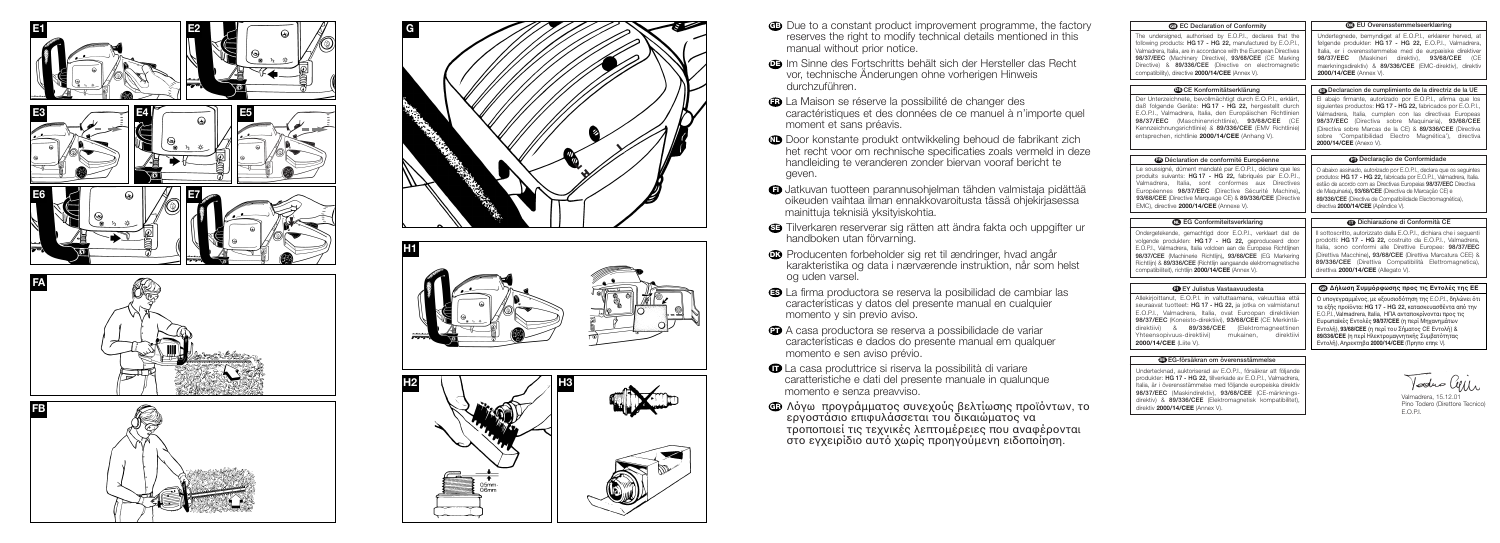







- 
- 
- **B** La Maison se réserve la possibilité de changer des caractéristiques et des données de ce manuel à n'importe quel moment et sans préavis.
- **ID** Door konstante produkt ontwikkeling behoud de fabrikant zich het recht voor om rechnische specificaties zoals vermeld in deze handleiding te veranderen zonder biervan vooraf bericht te geven.
- 
- 
- **C** Producenten forbeholder sig ret til ændringer, hvad angår karakteristika og data i nærværende instruktion, når som helst og uden varsel.
- 
- A casa productora se reserva a possibilidade de variar características e dados do presente manual em qualquer momento e sen aviso prévio.
- 
- 
- **B** Due to a constant product improvement programme, the factory reserves the right to modify technical details mentioned in this manual without prior notice.
- Im Sinne des Fortschritts behält sich der Hersteller das Recht vor, technische Änderungen ohne vorherigen Hinweis durchzuführen.

- **O** Jatkuvan tuotteen parannusohjelman tähden valmistaja pidättää oikeuden vaihtaa ilman ennakkovaroitusta tässä ohjekirjasessa mainittuja teknisiä yksityiskohtia.
- **G** Tilverkaren reserverar sig rätten att ändra fakta och uppgifter ur handboken utan förvarning.
- **B** La firma productora se reserva la posibilidad de cambiar las características y datos del presente manual en cualquier momento y sin previo aviso.
- **O** La casa produttrice si riserva la possibilità di variare caratteristiche e dati del presente manuale in qualunque momento e senza preavviso.
- **Φ** Λόγω προγράμματος συνεχούς βελτίωσης προϊόντων, το<br>εργοστάσιο επιφυλάσσεται του δικαιώματος να τροποποιεί τις τεχνικές λεπτομέρειες που αναφέρονται<br>στο εγχειρίδιο αυτό χωρίς προηγούμενη ειδοποίηση.

| <b>69 EC Declaration of Conformity</b>                                                                                                                                                                                                                                                                                                                                                         | <b>CO</b> EU Overensstemmelseerklæring                                                                                                                                                                                                                                                                                                                                                                          |
|------------------------------------------------------------------------------------------------------------------------------------------------------------------------------------------------------------------------------------------------------------------------------------------------------------------------------------------------------------------------------------------------|-----------------------------------------------------------------------------------------------------------------------------------------------------------------------------------------------------------------------------------------------------------------------------------------------------------------------------------------------------------------------------------------------------------------|
| The undersigned, authorised by E.O.P.I., declares that the<br>following products: HG 17 - HG 22, manufactured by E.O.P.I.,<br>Valmadrera, Italia, are in accordance with the European Directives<br>98/37/EEC (Machinery Directive), 93/68/CEE (CE Marking<br>Directive) & 89/336/CEE (Directive on electromagnetic<br>compatibility), directive 2000/14/CEE (Annex V).                        | Undertegnede, bemyndiget af E.O.P.I., erklærer herved, at<br>følgende produkter: HG 17 - HG 22, E.O.P.I., Valmadrera,<br>Italia, er i overensstemmelse med de eurpæiske direktiver<br>98/37/EEC<br>(Maskineri<br>direktiv),<br>93/68/CEE<br>(CE<br>mærkningsdirektiv) & 89/336/CEE (EMC-direktiv), direktiv<br>2000/14/CEE (Annex V).                                                                           |
| <b>EDCE Konformitätserklärung</b>                                                                                                                                                                                                                                                                                                                                                              | <b>B</b> Declaracion de cumplimiento de la directriz de la UE                                                                                                                                                                                                                                                                                                                                                   |
| Der Unterzeichnete, bevollmächtigt durch E.O.P.I., erklärt,<br>daß folgende Geräte: HG 17 - HG 22, hergestellt durch<br>E.O.P.I., Valmadrera, Italia, den Europäischen Richtlinien<br>(Maschinenrichtlinie), 93/68/CEE<br>98/37/EEC<br>ICF<br>Kennzeichnungsrichtlinie) & 89/336/CEE (EMV Richtlinie)<br>entsprechen, richtlinie 2000/14/CEE (Anhang V).                                       | El abajo firmante, autorizado por E.O.P.I., afirma que los<br>siquientes productos: HG 17 - HG 22, fabricados por E.O.P.I.,<br>Valmadrera, Italia, cumplen con las directivas Europeas<br>98/37/EEC (Directiva sobre Maquinaria), 93/68/CEE<br>(Directiva sobre Marcas de la CE) & 89/336/CEE (Directiva<br>sobre 'Compatibilidad Electro Magnética'), directiva<br>2000/14/CEE (Anexo V).                      |
| <b>B</b> Déclaration de conformité Européenne                                                                                                                                                                                                                                                                                                                                                  | <b>OD</b> Declaração de Conformidade                                                                                                                                                                                                                                                                                                                                                                            |
| Le soussigné, dûment mandaté par E.O.P.I., déclare que les<br>produits suivants: HG 17 - HG 22, fabriqués par E.O.P.I.,<br>Valmadrera, Italia, sont conformes aux Directives<br>Européennes 98/37/EEC (Directive Sécurité Machine),<br>93/68/CEE (Directive Marquage CE) & 89/336/CEE (Directive<br>EMC), directive 2000/14/CEE (Annexe V).                                                    | O abaixo assinado, autorizado por E.O.P.I., declara que os sequintes<br>produtos: HG 17 - HG 22, fabricada por E.O.P.I., Valmadrera, Italia.<br>estão de acordo com as Directivas Europeias 98/37/EEC Directiva<br>de Maquinaria), 93/68/CEE (Directiva de Marcação CE) e<br>89/336/CEE (Directiva de Compatibilidade Electromagnética),<br>directiva 2000/14/CEE (Apêndice V).                                 |
| <b>CD</b> EG Conformiteitsverklaring                                                                                                                                                                                                                                                                                                                                                           | Dichiarazione di Conformità CE                                                                                                                                                                                                                                                                                                                                                                                  |
| Ondergetekende, gemachtigd door E.O.P.I., verklaart dat de<br>volgende produkten: HG 17 - HG 22, geproduceerd door<br>E.O.P.I., Valmadrera, Italia voldoen aan de Europese Richtlijnen<br>98/37/CEE (Machinerie Richtlijn), 93/68/CEE (EG Markering<br>Richtlijn) & 89/336/CEE (Richtlijn aangaande elektromagnetische<br>compatibiliteit), richtlijn 2000/14/CEE (Annex V).                   | Il sottoscritto, autorizzato dalla E.O.P.I., dichiara che i seguenti<br>prodotti: HG 17 - HG 22, costruito da E.O.P.I., Valmadrera,<br>Italia, sono conformi alle Direttive Europee: 98/37/EEC<br>(Direttiva Macchine), 93/68/CEE (Direttiva Marcatura CEE) &<br>89/336/CEE (Direttiva Compatibilità Elettromagnetica),<br>direttiva 2000/14/CEE (Allegato V).                                                  |
| EY Julistus Vastaavuudesta                                                                                                                                                                                                                                                                                                                                                                     | <b>@ Δήλωση Συμμόρφωσης προς τις Εντολές της ΕΕ</b>                                                                                                                                                                                                                                                                                                                                                             |
| Allekirjoittanut, E.O.P.I. in valtuttaamana, vakuuttaa että<br>seuraavat tuotteet: HG 17 - HG 22, ja jotka on valmistanut<br>E.O.P.I., Valmadrera, Italia, ovat Euroopan direktiivien<br>98/37/EEC (Koneisto-direktiivi), 93/68/CEE (CE Merkintä-<br>direktiivi)<br>&<br>89/336/CEE<br>(Elektromagneettinen<br>Yhteensopivuus-direktiivi)<br>mukainen,<br>direktiivi<br>2000/14/CEE (Liite V). | Ο υπογεγραμμένος, με εξουσιοδότηση της Ε.Ο.Ρ.Ι., δηλώνει ότι<br>τα εξής προϊόντα: HG 17 - HG 22. κατασκευασθέντα από την<br>E.O.P.I., Valmadrera, Italia, ΗΠΑ ανταποκρίνονται προς τις<br>Ευρωπαϊκές Εντολές 98/37/CEE (η περί Μηχανημάτων<br>Εντολή), 93/68/CEE (η περί του Σήματος CE Εντολή) &<br><b>89/336/CEE</b> (η περί Ηλεκτρομαγνητικής Συμβατότητας<br>Εντολή), Αηρεκτηβα 2000/14/CEE (Πρηπο επηε V). |
| EG-försäkran om överensstämmelse                                                                                                                                                                                                                                                                                                                                                               |                                                                                                                                                                                                                                                                                                                                                                                                                 |
| Undertecknad, auktoriserad av E.O.P.I., försäkrar att följande<br>produkter: HG 17 - HG 22, tillverkade av E.O.P.I., Valmadrera,<br>Italia, är i överensstämmelse med följande europeiska direktiv<br>98/37/EEC (Maskindirektiv), 93/68/CEE (CE-märknings-<br>direktiv) & 89/336/CEE (Elektromagnetisk kompatibilitet),<br>direktiv 2000/14/CEE (Annex V).                                     | Voduo Cylin<br>Valmadrera, 15.12.01<br>Pino Todero (Direttore Tecnico)<br>E.O.P.I.                                                                                                                                                                                                                                                                                                                              |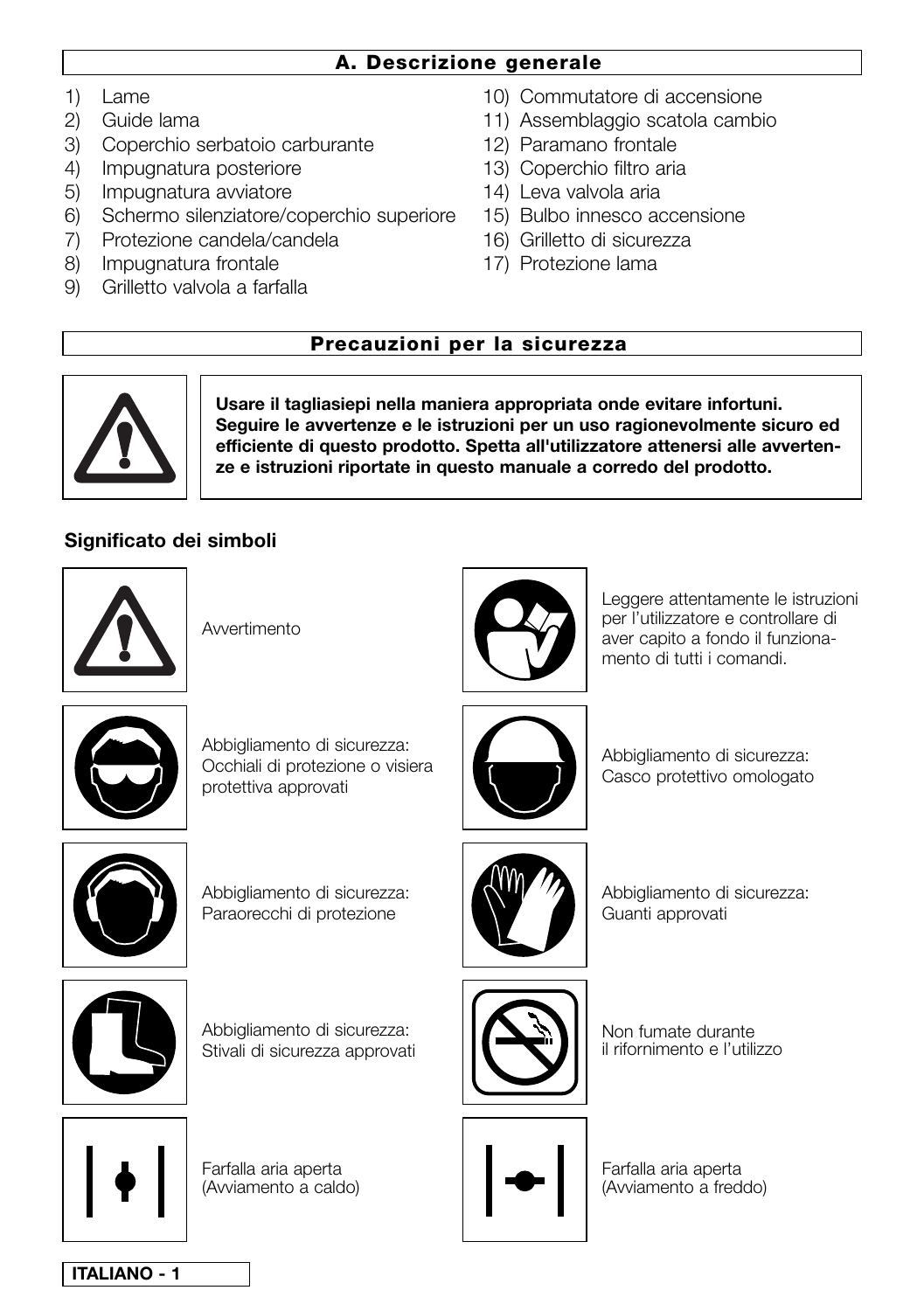# **A. Descrizione generale**

- 1) Lame
- 2) Guide lama
- 3) Coperchio serbatoio carburante
- 4) Impugnatura posteriore
- 5) Impugnatura avviatore
- 6) Schermo silenziatore/coperchio superiore
- 7) Protezione candela/candela
- 8) Impugnatura frontale
- 9) Grilletto valvola a farfalla
- 10) Commutatore di accensione
- 11) Assemblaggio scatola cambio
- 12) Paramano frontale
- 13) Coperchio filtro aria
- 14) Leva valvola aria
- 15) Bulbo innesco accensione
- 16) Grilletto di sicurezza
- 17) Protezione lama

# **Precauzioni per la sicurezza**



**Usare il tagliasiepi nella maniera appropriata onde evitare infortuni. Seguire le avvertenze e le istruzioni per un uso ragionevolmente sicuro ed efficiente di questo prodotto. Spetta all'utilizzatore attenersi alle avvertenze e istruzioni riportate in questo manuale a corredo del prodotto.**

# **Significato dei simboli**



Avvertimento



Leggere attentamente le istruzioni per l'utilizzatore e controllare di aver capito a fondo il funzionamento di tutti i comandi.



Abbigliamento di sicurezza: Occhiali di protezione o visiera protettiva approvati



Abbigliamento di sicurezza: Casco protettivo omologato



Abbigliamento di sicurezza: Paraorecchi di protezione



Abbigliamento di sicurezza: Guanti approvati



Abbigliamento di sicurezza: Stivali di sicurezza approvati



Non fumate durante il rifornimento e l'utilizzo



Farfalla aria aperta (Avviamento a caldo)



Farfalla aria aperta (Avviamento a freddo)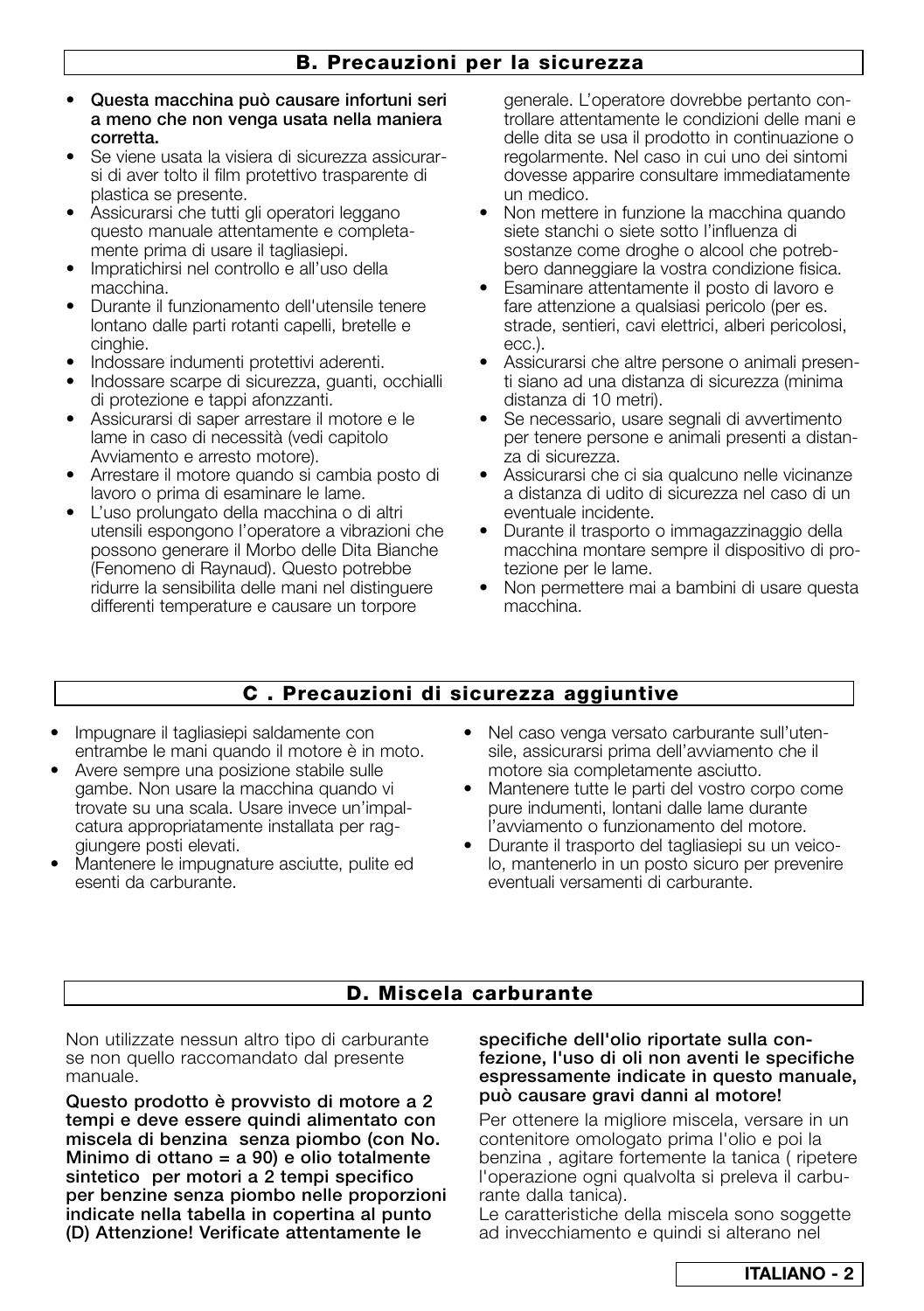- **Questa macchina può causare infortuni seri a meno che non venga usata nella maniera corretta.**
- **•** Se viene usata la visiera di sicurezza assicurarsi di aver tolto il film protettivo trasparente di plastica se presente.
- Assicurarsi che tutti gli operatori leggano questo manuale attentamente e completamente prima di usare il tagliasiepi.
- **•** Impratichirsi nel controllo e all'uso della macchina.
- **•** Durante il funzionamento dell'utensile tenere lontano dalle parti rotanti capelli, bretelle e cinghie.
- **•** Indossare indumenti protettivi aderenti.
- **•** Indossare scarpe di sicurezza, guanti, occhialli di protezione e tappi afonzzanti.
- **•** Assicurarsi di saper arrestare il motore e le lame in caso di necessità (vedi capitolo Avviamento e arresto motore).
- **•** Arrestare il motore quando si cambia posto di lavoro o prima di esaminare le lame.
- **•** L'uso prolungato della macchina o di altri utensili espongono l'operatore a vibrazioni che possono generare il Morbo delle Dita Bianche (Fenomeno di Raynaud). Questo potrebbe ridurre la sensibilita delle mani nel distinguere differenti temperature e causare un torpore

generale. L'operatore dovrebbe pertanto controllare attentamente le condizioni delle mani e delle dita se usa il prodotto in continuazione o regolarmente. Nel caso in cui uno dei sintomi dovesse apparire consultare immediatamente un medico.

- **•** Non mettere in funzione la macchina quando siete stanchi o siete sotto l'influenza di sostanze come droghe o alcool che potrebbero danneggiare la vostra condizione fisica.
- **•** Esaminare attentamente il posto di lavoro e fare attenzione a qualsiasi pericolo (per es. strade, sentieri, cavi elettrici, alberi pericolosi, ecc.).
- **•** Assicurarsi che altre persone o animali presenti siano ad una distanza di sicurezza (minima distanza di 10 metri).
- **•** Se necessario, usare segnali di avvertimento per tenere persone e animali presenti a distanza di sicurezza.
- **•** Assicurarsi che ci sia qualcuno nelle vicinanze a distanza di udito di sicurezza nel caso di un eventuale incidente.
- **•** Durante il trasporto o immagazzinaggio della macchina montare sempre il dispositivo di protezione per le lame.
- **•** Non permettere mai a bambini di usare questa macchina.

# **C . Precauzioni di sicurezza aggiuntive**

- **•** Impugnare il tagliasiepi saldamente con entrambe le mani quando il motore è in moto.
- **•** Avere sempre una posizione stabile sulle gambe. Non usare la macchina quando vi trovate su una scala. Usare invece un'impalcatura appropriatamente installata per raggiungere posti elevati.
- **•** Mantenere le impugnature asciutte, pulite ed esenti da carburante.
- **•** Nel caso venga versato carburante sull'utensile, assicurarsi prima dell'avviamento che il motore sia completamente asciutto.
- **•** Mantenere tutte le parti del vostro corpo come pure indumenti, lontani dalle lame durante l'avviamento o funzionamento del motore.
- **•** Durante il trasporto del tagliasiepi su un veicolo, mantenerlo in un posto sicuro per prevenire eventuali versamenti di carburante.

# **D. Miscela carburante**

Non utilizzate nessun altro tipo di carburante se non quello raccomandato dal presente manuale.

**Questo prodotto è provvisto di motore a 2 tempi e deve essere quindi alimentato con miscela di benzina senza piombo (con No. Minimo di ottano = a 90) e olio totalmente sintetico per motori a 2 tempi specifico per benzine senza piombo nelle proporzioni indicate nella tabella in copertina al punto (D) Attenzione! Verificate attentamente le**

#### **specifiche dell'olio riportate sulla confezione, l'uso di oli non aventi le specifiche espressamente indicate in questo manuale, può causare gravi danni al motore!**

Per ottenere la migliore miscela, versare in un contenitore omologato prima l'olio e poi la benzina , agitare fortemente la tanica ( ripetere l'operazione ogni qualvolta si preleva il carburante dalla tanica).

Le caratteristiche della miscela sono soggette ad invecchiamento e quindi si alterano nel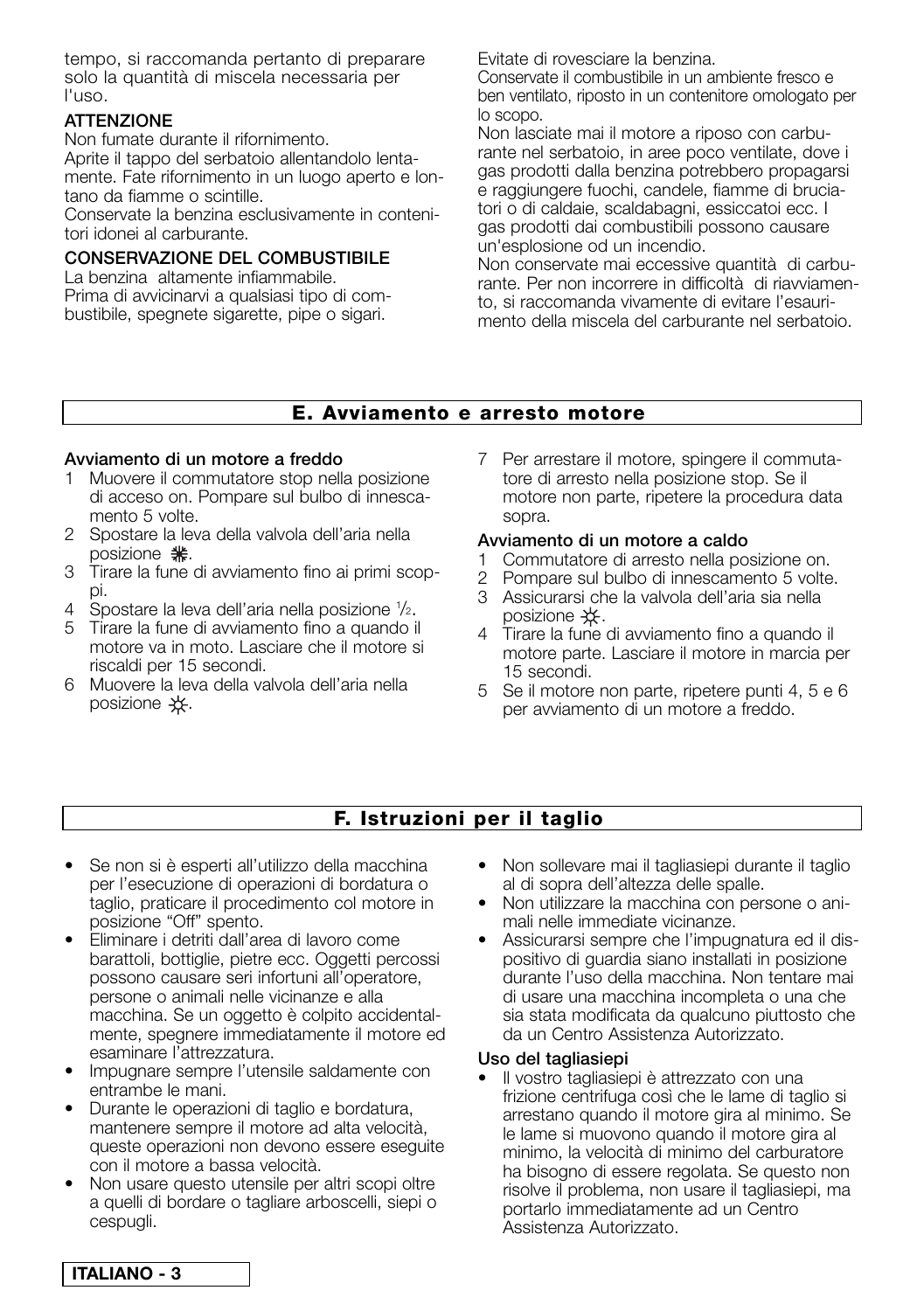tempo, si raccomanda pertanto di preparare solo la quantità di miscela necessaria per l'uso.

# **ATTENZIONE**

Non fumate durante il rifornimento.

Aprite il tappo del serbatoio allentandolo lentamente. Fate rifornimento in un luogo aperto e lontano da fiamme o scintille.

Conservate la benzina esclusivamente in contenitori idonei al carburante.

# **CONSERVAZIONE DEL COMBUSTIBILE**

La benzina altamente infiammabile. Prima di avvicinarvi a qualsiasi tipo di combustibile, spegnete sigarette, pipe o sigari.

Evitate di rovesciare la benzina.

Conservate il combustibile in un ambiente fresco e ben ventilato, riposto in un contenitore omologato per lo scopo.

Non lasciate mai il motore a riposo con carburante nel serbatoio, in aree poco ventilate, dove i gas prodotti dalla benzina potrebbero propagarsi e raggiungere fuochi, candele, fiamme di bruciatori o di caldaie, scaldabagni, essiccatoi ecc. I gas prodotti dai combustibili possono causare un'esplosione od un incendio.

Non conservate mai eccessive quantità di carburante. Per non incorrere in difficoltà di riavviamento, si raccomanda vivamente di evitare l'esaurimento della miscela del carburante nel serbatoio.

# **E. Avviamento e arresto motore**

#### **Avviamento di un motore a freddo**

- 1 Muovere il commutatore stop nella posizione di acceso on. Pompare sul bulbo di innescamento 5 volte.
- 2 Spostare la leva della valvola dell'aria nella posizione **\*\***.
- 3 Tirare la fune di avviamento fino ai primi scoppi.
- 4 Spostare la leva dell'aria nella posizione 1/2.
- 5 Tirare la fune di avviamento fino a quando il motore va in moto. Lasciare che il motore si riscaldi per 15 secondi.
- 6 Muovere la leva della valvola dell'aria nella posizione  $\frac{1}{2}$ .

7 Per arrestare il motore, spingere il commutatore di arresto nella posizione stop. Se il motore non parte, ripetere la procedura data sopra.

# **Avviamento di un motore a caldo**

- 1 Commutatore di arresto nella posizione on.
- 2 Pompare sul bulbo di innescamento 5 volte.
- 3 Assicurarsi che la valvola dell'aria sia nella posizione  $\pm$ .
- 4 Tirare la fune di avviamento fino a quando il motore parte. Lasciare il motore in marcia per 15 secondi.
- 5 Se il motore non parte, ripetere punti 4, 5 e 6 per avviamento di un motore a freddo.

# **F. Istruzioni per il taglio**

- **•** Se non si è esperti all'utilizzo della macchina per l'esecuzione di operazioni di bordatura o taglio, praticare il procedimento col motore in posizione "Off" spento.
- **•** Eliminare i detriti dall'area di lavoro come barattoli, bottiglie, pietre ecc. Oggetti percossi possono causare seri infortuni all'operatore, persone o animali nelle vicinanze e alla macchina. Se un oggetto è colpito accidentalmente, spegnere immediatamente il motore ed esaminare l'attrezzatura.
- **•** Impugnare sempre l'utensile saldamente con entrambe le mani.
- **•** Durante le operazioni di taglio e bordatura, mantenere sempre il motore ad alta velocità, queste operazioni non devono essere eseguite con il motore a bassa velocità.
- **•** Non usare questo utensile per altri scopi oltre a quelli di bordare o tagliare arboscelli, siepi o cespugli.
- **•** Non sollevare mai il tagliasiepi durante il taglio al di sopra dell'altezza delle spalle.
- **•** Non utilizzare la macchina con persone o animali nelle immediate vicinanze.
- **•** Assicurarsi sempre che l'impugnatura ed il dispositivo di guardia siano installati in posizione durante l'uso della macchina. Non tentare mai di usare una macchina incompleta o una che sia stata modificata da qualcuno piuttosto che da un Centro Assistenza Autorizzato.

#### **Uso del tagliasiepi**

**•** Il vostro tagliasiepi è attrezzato con una frizione centrifuga così che le lame di taglio si arrestano quando il motore gira al minimo. Se le lame si muovono quando il motore gira al minimo, la velocità di minimo del carburatore ha bisogno di essere regolata. Se questo non risolve il problema, non usare il tagliasiepi, ma portarlo immediatamente ad un Centro Assistenza Autorizzato.

**ITALIANO - 3**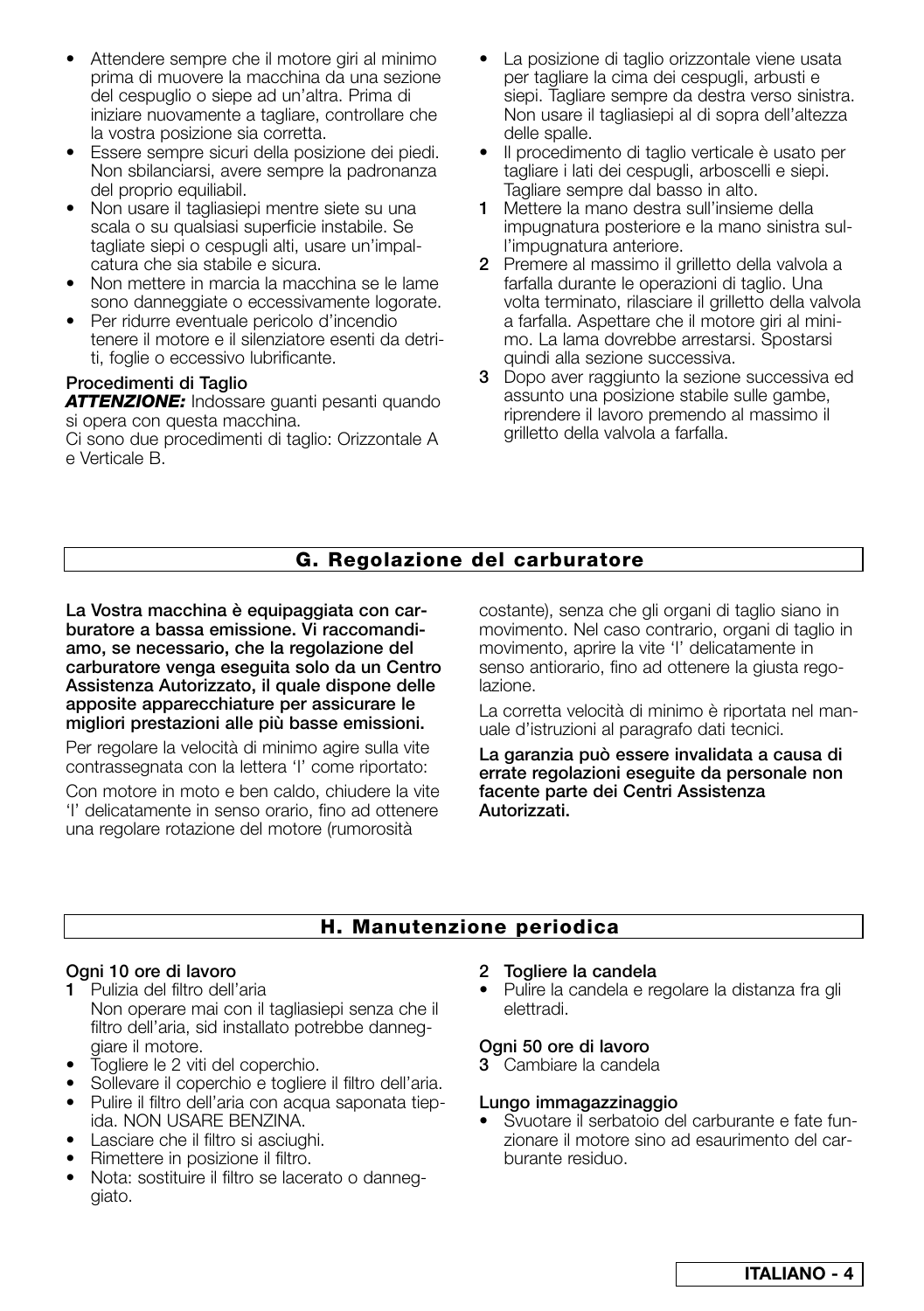- **•** Attendere sempre che il motore giri al minimo prima di muovere la macchina da una sezione del cespuglio o siepe ad un'altra. Prima di iniziare nuovamente a tagliare, controllare che la vostra posizione sia corretta.
- **•** Essere sempre sicuri della posizione dei piedi. Non sbilanciarsi, avere sempre la padronanza del proprio equiliabil.
- **•** Non usare il tagliasiepi mentre siete su una scala o su qualsiasi superficie instabile. Se tagliate siepi o cespugli alti, usare un'impalcatura che sia stabile e sicura.
- **•** Non mettere in marcia la macchina se le lame sono danneggiate o eccessivamente logorate.
- **•** Per ridurre eventuale pericolo d'incendio tenere il motore e il silenziatore esenti da detriti, foglie o eccessivo lubrificante.

# **Procedimenti di Taglio**

*ATTENZIONE:* Indossare guanti pesanti quando si opera con questa macchina.

Ci sono due procedimenti di taglio: Orizzontale A e Verticale B.

- **•** La posizione di taglio orizzontale viene usata per tagliare la cima dei cespugli, arbusti e siepi. Tagliare sempre da destra verso sinistra. Non usare il tagliasiepi al di sopra dell'altezza delle spalle.
- **•** Il procedimento di taglio verticale è usato per tagliare i lati dei cespugli, arboscelli e siepi. Tagliare sempre dal basso in alto.
- **1** Mettere la mano destra sull'insieme della impugnatura posteriore e la mano sinistra sull'impugnatura anteriore.
- **2** Premere al massimo il grilletto della valvola a farfalla durante le operazioni di taglio. Una volta terminato, rilasciare il grilletto della valvola a farfalla. Aspettare che il motore giri al minimo. La lama dovrebbe arrestarsi. Spostarsi quindi alla sezione successiva.
- **3** Dopo aver raggiunto la sezione successiva ed assunto una posizione stabile sulle gambe, riprendere il lavoro premendo al massimo il grilletto della valvola a farfalla.

# **G. Regolazione del carburatore**

**La Vostra macchina è equipaggiata con carburatore a bassa emissione. Vi raccomandiamo, se necessario, che la regolazione del carburatore venga eseguita solo da un Centro Assistenza Autorizzato, il quale dispone delle apposite apparecchiature per assicurare le migliori prestazioni alle più basse emissioni.**

Per regolare la velocità di minimo agire sulla vite contrassegnata con la lettera 'I' come riportato:

Con motore in moto e ben caldo, chiudere la vite 'I' delicatamente in senso orario, fino ad ottenere una regolare rotazione del motore (rumorosità

costante), senza che gli organi di taglio siano in movimento. Nel caso contrario, organi di taglio in movimento, aprire la vite 'I' delicatamente in senso antiorario, fino ad ottenere la giusta regolazione.

La corretta velocità di minimo è riportata nel manuale d'istruzioni al paragrafo dati tecnici.

**La garanzia può essere invalidata a causa di errate regolazioni eseguite da personale non facente parte dei Centri Assistenza Autorizzati.**

# **H. Manutenzione periodica**

# **Ogni 10 ore di lavoro**

- **1** Pulizia del filtro dell'aria Non operare mai con il tagliasiepi senza che il filtro dell'aria, sid installato potrebbe danneggiare il motore.
- Togliere le 2 viti del coperchio.<br>• Sollevare il coperchio e togliere
- Sollevare il coperchio e togliere il filtro dell'aria.
- Pulire il filtro dell'aria con acqua saponata tiepida. NON USARE BENZINA.
- Lasciare che il filtro si asciughi.
- Rimettere in posizione il filtro.
- Nota: sostituire il filtro se lacerato o danneggiato.

# **2 Togliere la candela**

**•** Pulire la candela e regolare la distanza fra gli elettradi.

# **Ogni 50 ore di lavoro**

**3** Cambiare la candela

# **Lungo immagazzinaggio**

• Svuotare il serbatoio del carburante e fate funzionare il motore sino ad esaurimento del carburante residuo.